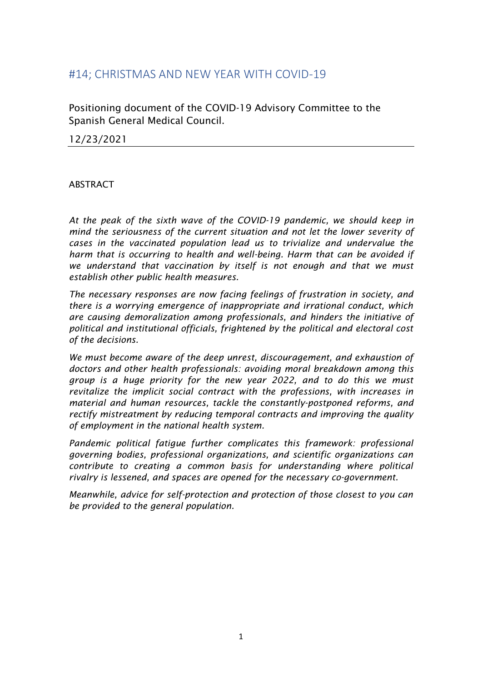#### #14; CHRISTMAS AND NEW YEAR WITH COVID-19

Positioning document of the COVID-19 Advisory Committee to the Spanish General Medical Council.

12/23/2021

#### ABSTRACT

*At the peak of the sixth wave of the COVID-19 pandemic, we should keep in mind the seriousness of the current situation and not let the lower severity of cases in the vaccinated population lead us to trivialize and undervalue the harm that is occurring to health and well-being. Harm that can be avoided if we understand that vaccination by itself is not enough and that we must establish other public health measures.*

*The necessary responses are now facing feelings of frustration in society, and there is a worrying emergence of inappropriate and irrational conduct, which are causing demoralization among professionals, and hinders the initiative of political and institutional officials, frightened by the political and electoral cost of the decisions.*

*We must become aware of the deep unrest, discouragement, and exhaustion of doctors and other health professionals: avoiding moral breakdown among this group is a huge priority for the new year 2022, and to do this we must revitalize the implicit social contract with the professions, with increases in material and human resources, tackle the constantly-postponed reforms, and rectify mistreatment by reducing temporal contracts and improving the quality of employment in the national health system.*

*Pandemic political fatigue further complicates this framework: professional governing bodies, professional organizations, and scientific organizations can contribute to creating a common basis for understanding where political rivalry is lessened, and spaces are opened for the necessary co-government.*

*Meanwhile, advice for self-protection and protection of those closest to you can be provided to the general population.*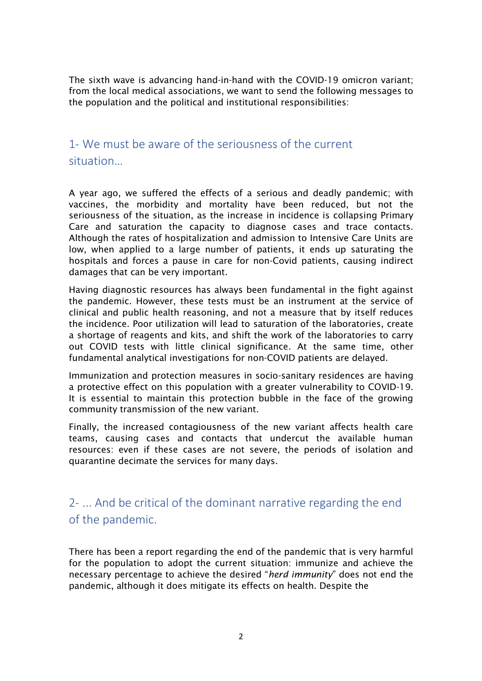The sixth wave is advancing hand-in-hand with the COVID-19 omicron variant; from the local medical associations, we want to send the following messages to the population and the political and institutional responsibilities:

#### 1- We must be aware of the seriousness of the current situation…

A year ago, we suffered the effects of a serious and deadly pandemic; with vaccines, the morbidity and mortality have been reduced, but not the seriousness of the situation, as the increase in incidence is collapsing Primary Care and saturation the capacity to diagnose cases and trace contacts. Although the rates of hospitalization and admission to Intensive Care Units are low, when applied to a large number of patients, it ends up saturating the hospitals and forces a pause in care for non-Covid patients, causing indirect damages that can be very important.

Having diagnostic resources has always been fundamental in the fight against the pandemic. However, these tests must be an instrument at the service of clinical and public health reasoning, and not a measure that by itself reduces the incidence. Poor utilization will lead to saturation of the laboratories, create a shortage of reagents and kits, and shift the work of the laboratories to carry out COVID tests with little clinical significance. At the same time, other fundamental analytical investigations for non-COVID patients are delayed.

Immunization and protection measures in socio-sanitary residences are having a protective effect on this population with a greater vulnerability to COVID-19. It is essential to maintain this protection bubble in the face of the growing community transmission of the new variant.

Finally, the increased contagiousness of the new variant affects health care teams, causing cases and contacts that undercut the available human resources: even if these cases are not severe, the periods of isolation and quarantine decimate the services for many days.

## 2- ... And be critical of the dominant narrative regarding the end of the pandemic.

There has been a report regarding the end of the pandemic that is very harmful for the population to adopt the current situation: immunize and achieve the necessary percentage to achieve the desired "*herd immunity*" does not end the pandemic, although it does mitigate its effects on health. Despite the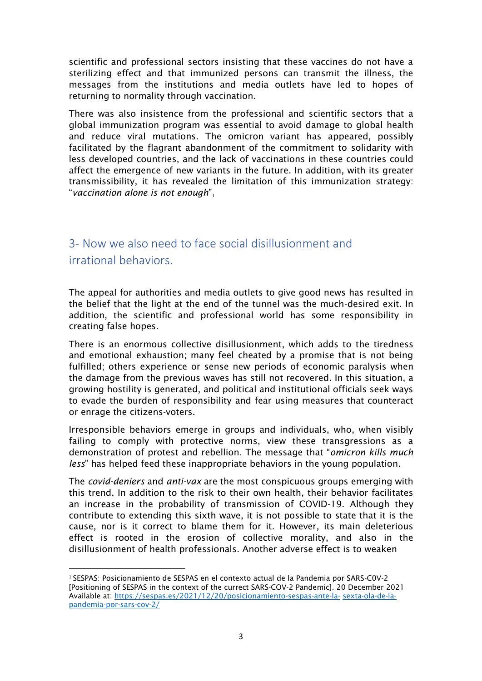scientific and professional sectors insisting that these vaccines do not have a sterilizing effect and that immunized persons can transmit the illness, the messages from the institutions and media outlets have led to hopes of returning to normality through vaccination.

There was also insistence from the professional and scientific sectors that a global immunization program was essential to avoid damage to global health and reduce viral mutations. The omicron variant has appeared, possibly facilitated by the flagrant abandonment of the commitment to solidarity with less developed countries, and the lack of vaccinations in these countries could affect the emergence of new variants in the future. In addition, with its greater transmissibility, it has revealed the limitation of this immunization strategy: "*vaccination alone is not enough*"<sup>1</sup>

# 3- Now we also need to face social disillusionment and irrational behaviors.

The appeal for authorities and media outlets to give good news has resulted in the belief that the light at the end of the tunnel was the much-desired exit. In addition, the scientific and professional world has some responsibility in creating false hopes.

There is an enormous collective disillusionment, which adds to the tiredness and emotional exhaustion; many feel cheated by a promise that is not being fulfilled; others experience or sense new periods of economic paralysis when the damage from the previous waves has still not recovered. In this situation, a growing hostility is generated, and political and institutional officials seek ways to evade the burden of responsibility and fear using measures that counteract or enrage the citizens-voters.

Irresponsible behaviors emerge in groups and individuals, who, when visibly failing to comply with protective norms, view these transgressions as a demonstration of protest and rebellion. The message that "*omicron kills much less*" has helped feed these inappropriate behaviors in the young population.

The *covid-deniers* and *anti-vax* are the most conspicuous groups emerging with this trend. In addition to the risk to their own health, their behavior facilitates an increase in the probability of transmission of COVID-19. Although they contribute to extending this sixth wave, it is not possible to state that it is the cause, nor is it correct to blame them for it. However, its main deleterious effect is rooted in the erosion of collective morality, and also in the disillusionment of health professionals. Another adverse effect is to weaken

<sup>1</sup> SESPAS: Posicionamiento de SESPAS en el contexto actual de la Pandemia por SARS-C0V-2 [Positioning of SESPAS in the context of the currect SARS-COV-2 Pandemic]. 20 December 2021 Available at: [https://sespas.es/2021/12/20/posicionamiento-sespas-ante-la-](https://sespas.es/2021/12/20/posicionamiento-sespas-ante-la-sexta-ola-de-la-pandemia-por-sars-cov-2/) [sexta-ola-de-la](https://sespas.es/2021/12/20/posicionamiento-sespas-ante-la-sexta-ola-de-la-pandemia-por-sars-cov-2/)[pandemia-por-sars-cov-2/](https://sespas.es/2021/12/20/posicionamiento-sespas-ante-la-sexta-ola-de-la-pandemia-por-sars-cov-2/)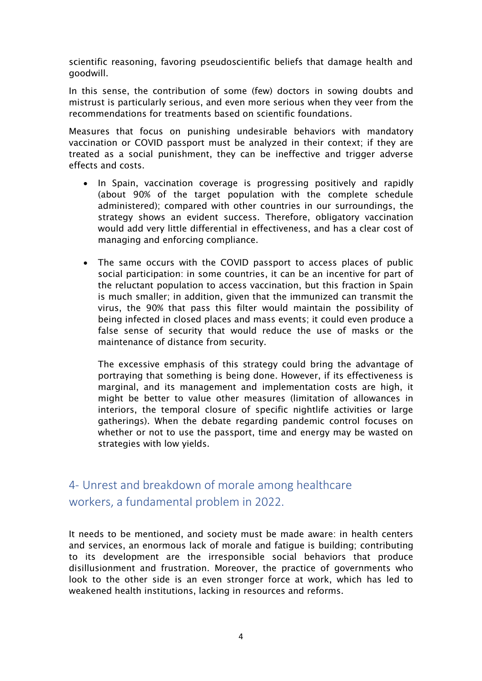scientific reasoning, favoring pseudoscientific beliefs that damage health and goodwill.

In this sense, the contribution of some (few) doctors in sowing doubts and mistrust is particularly serious, and even more serious when they veer from the recommendations for treatments based on scientific foundations.

Measures that focus on punishing undesirable behaviors with mandatory vaccination or COVID passport must be analyzed in their context; if they are treated as a social punishment, they can be ineffective and trigger adverse effects and costs.

- In Spain, vaccination coverage is progressing positively and rapidly (about 90% of the target population with the complete schedule administered); compared with other countries in our surroundings, the strategy shows an evident success. Therefore, obligatory vaccination would add very little differential in effectiveness, and has a clear cost of managing and enforcing compliance.
- The same occurs with the COVID passport to access places of public social participation: in some countries, it can be an incentive for part of the reluctant population to access vaccination, but this fraction in Spain is much smaller; in addition, given that the immunized can transmit the virus, the 90% that pass this filter would maintain the possibility of being infected in closed places and mass events; it could even produce a false sense of security that would reduce the use of masks or the maintenance of distance from security.

The excessive emphasis of this strategy could bring the advantage of portraying that something is being done. However, if its effectiveness is marginal, and its management and implementation costs are high, it might be better to value other measures (limitation of allowances in interiors, the temporal closure of specific nightlife activities or large gatherings). When the debate regarding pandemic control focuses on whether or not to use the passport, time and energy may be wasted on strategies with low yields.

## 4- Unrest and breakdown of morale among healthcare workers, a fundamental problem in 2022.

It needs to be mentioned, and society must be made aware: in health centers and services, an enormous lack of morale and fatigue is building; contributing to its development are the irresponsible social behaviors that produce disillusionment and frustration. Moreover, the practice of governments who look to the other side is an even stronger force at work, which has led to weakened health institutions, lacking in resources and reforms.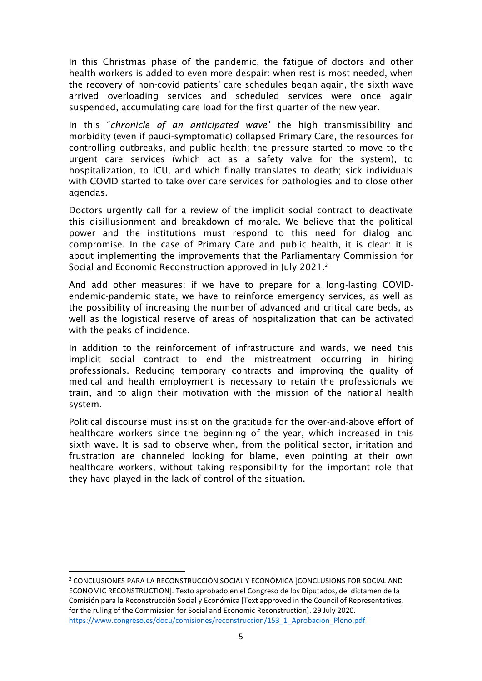In this Christmas phase of the pandemic, the fatigue of doctors and other health workers is added to even more despair: when rest is most needed, when the recovery of non-covid patients' care schedules began again, the sixth wave arrived overloading services and scheduled services were once again suspended, accumulating care load for the first quarter of the new year.

In this "*chronicle of an anticipated wave*" the high transmissibility and morbidity (even if pauci-symptomatic) collapsed Primary Care, the resources for controlling outbreaks, and public health; the pressure started to move to the urgent care services (which act as a safety valve for the system), to hospitalization, to ICU, and which finally translates to death; sick individuals with COVID started to take over care services for pathologies and to close other agendas.

Doctors urgently call for a review of the implicit social contract to deactivate this disillusionment and breakdown of morale. We believe that the political power and the institutions must respond to this need for dialog and compromise. In the case of Primary Care and public health, it is clear: it is about implementing the improvements that the Parliamentary Commission for Social and Economic Reconstruction approved in July 2021.<sup>2</sup>

And add other measures: if we have to prepare for a long-lasting COVIDendemic-pandemic state, we have to reinforce emergency services, as well as the possibility of increasing the number of advanced and critical care beds, as well as the logistical reserve of areas of hospitalization that can be activated with the peaks of incidence.

In addition to the reinforcement of infrastructure and wards, we need this implicit social contract to end the mistreatment occurring in hiring professionals. Reducing temporary contracts and improving the quality of medical and health employment is necessary to retain the professionals we train, and to align their motivation with the mission of the national health system.

Political discourse must insist on the gratitude for the over-and-above effort of healthcare workers since the beginning of the year, which increased in this sixth wave. It is sad to observe when, from the political sector, irritation and frustration are channeled looking for blame, even pointing at their own healthcare workers, without taking responsibility for the important role that they have played in the lack of control of the situation.

<sup>2</sup> CONCLUSIONES PARA LA RECONSTRUCCIÓN SOCIAL Y ECONÓMICA [CONCLUSIONS FOR SOCIAL AND ECONOMIC RECONSTRUCTION]. Texto aprobado en el Congreso de los Diputados, del dictamen de la Comisión para la Reconstrucción Social y Económica [Text approved in the Council of Representatives, for the ruling of the Commission for Social and Economic Reconstruction]. 29 July 2020. [https://www.congreso.es/docu/comisiones/reconstruccion/153\\_1\\_Aprobacion\\_Pleno.pdf](https://www.congreso.es/docu/comisiones/reconstruccion/153_1_Aprobacion_Pleno.pdf)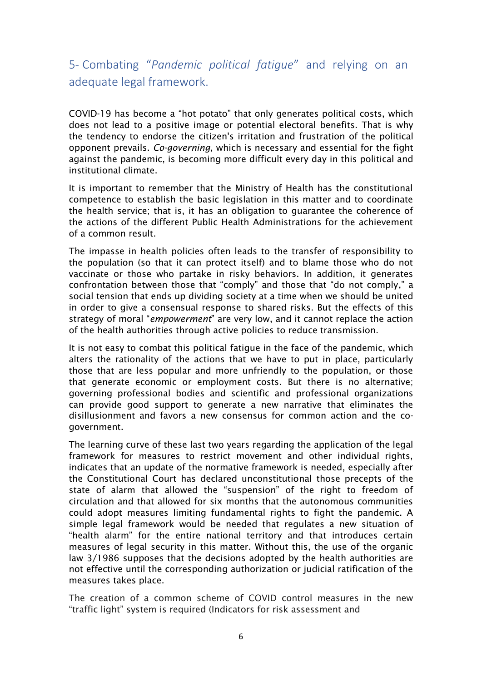5- Combating "*Pandemic political fatigue*" and relying on an adequate legal framework.

COVID-19 has become a "hot potato" that only generates political costs, which does not lead to a positive image or potential electoral benefits. That is why the tendency to endorse the citizen's irritation and frustration of the political opponent prevails. *Co-governing*, which is necessary and essential for the fight against the pandemic, is becoming more difficult every day in this political and institutional climate.

It is important to remember that the Ministry of Health has the constitutional competence to establish the basic legislation in this matter and to coordinate the health service; that is, it has an obligation to guarantee the coherence of the actions of the different Public Health Administrations for the achievement of a common result.

The impasse in health policies often leads to the transfer of responsibility to the population (so that it can protect itself) and to blame those who do not vaccinate or those who partake in risky behaviors. In addition, it generates confrontation between those that "comply" and those that "do not comply," a social tension that ends up dividing society at a time when we should be united in order to give a consensual response to shared risks. But the effects of this strategy of moral "*empowerment*" are very low, and it cannot replace the action of the health authorities through active policies to reduce transmission.

It is not easy to combat this political fatigue in the face of the pandemic, which alters the rationality of the actions that we have to put in place, particularly those that are less popular and more unfriendly to the population, or those that generate economic or employment costs. But there is no alternative; governing professional bodies and scientific and professional organizations can provide good support to generate a new narrative that eliminates the disillusionment and favors a new consensus for common action and the cogovernment.

The learning curve of these last two years regarding the application of the legal framework for measures to restrict movement and other individual rights, indicates that an update of the normative framework is needed, especially after the Constitutional Court has declared unconstitutional those precepts of the state of alarm that allowed the "suspension" of the right to freedom of circulation and that allowed for six months that the autonomous communities could adopt measures limiting fundamental rights to fight the pandemic. A simple legal framework would be needed that regulates a new situation of "health alarm" for the entire national territory and that introduces certain measures of legal security in this matter. Without this, the use of the organic law 3/1986 supposes that the decisions adopted by the health authorities are not effective until the corresponding authorization or judicial ratification of the measures takes place.

The creation of a common scheme of COVID control measures in the new "traffic light" system is required (Indicators for risk assessment and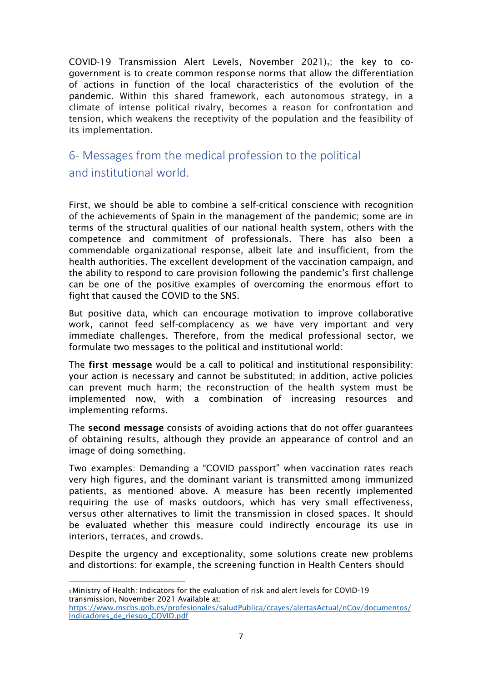COVID-19 Transmission Alert Levels, November 2021) $\alpha$ ; the key to cogovernment is to create common response norms that allow the differentiation of actions in function of the local characteristics of the evolution of the pandemic. Within this shared framework, each autonomous strategy, in a climate of intense political rivalry, becomes a reason for confrontation and tension, which weakens the receptivity of the population and the feasibility of its implementation.

6- Messages from the medical profession to the political and institutional world.

First, we should be able to combine a self-critical conscience with recognition of the achievements of Spain in the management of the pandemic; some are in terms of the structural qualities of our national health system, others with the competence and commitment of professionals. There has also been a commendable organizational response, albeit late and insufficient, from the health authorities. The excellent development of the vaccination campaign, and the ability to respond to care provision following the pandemic's first challenge can be one of the positive examples of overcoming the enormous effort to fight that caused the COVID to the SNS.

But positive data, which can encourage motivation to improve collaborative work, cannot feed self-complacency as we have very important and very immediate challenges. Therefore, from the medical professional sector, we formulate two messages to the political and institutional world:

The first message would be a call to political and institutional responsibility: your action is necessary and cannot be substituted; in addition, active policies can prevent much harm; the reconstruction of the health system must be implemented now, with a combination of increasing resources and implementing reforms.

The second message consists of avoiding actions that do not offer guarantees of obtaining results, although they provide an appearance of control and an image of doing something.

Two examples: Demanding a "COVID passport" when vaccination rates reach very high figures, and the dominant variant is transmitted among immunized patients, as mentioned above. A measure has been recently implemented requiring the use of masks outdoors, which has very small effectiveness, versus other alternatives to limit the transmission in closed spaces. It should be evaluated whether this measure could indirectly encourage its use in interiors, terraces, and crowds.

Despite the urgency and exceptionality, some solutions create new problems and distortions: for example, the screening function in Health Centers should

<sup>3</sup>Ministry of Health: Indicators for the evaluation of risk and alert levels for COVID-19 transmission, November 2021 Available at:

[https://www.mscbs.gob.es/profesionales/saludPublica/ccayes/alertasActual/nCov/documentos/](https://www.mscbs.gob.es/profesionales/saludPublica/ccayes/alertasActual/nCov/documentos/Indicadores_de_riesgo_COVID.pdf) [Indicadores\\_de\\_riesgo\\_COVID.pdf](https://www.mscbs.gob.es/profesionales/saludPublica/ccayes/alertasActual/nCov/documentos/Indicadores_de_riesgo_COVID.pdf)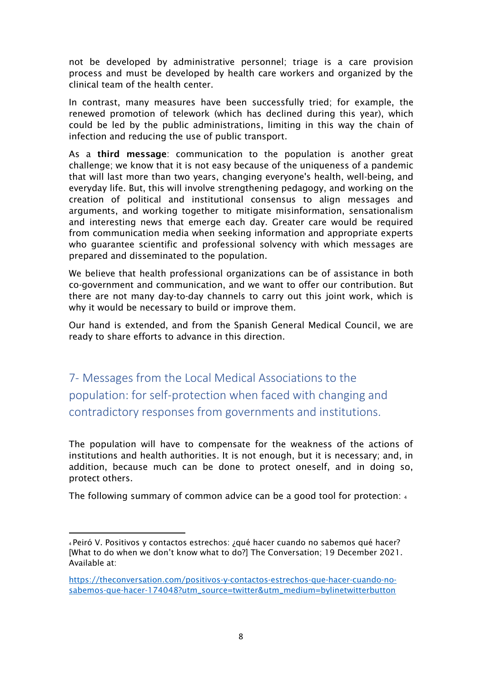not be developed by administrative personnel; triage is a care provision process and must be developed by health care workers and organized by the clinical team of the health center.

In contrast, many measures have been successfully tried; for example, the renewed promotion of telework (which has declined during this year), which could be led by the public administrations, limiting in this way the chain of infection and reducing the use of public transport.

As a third message: communication to the population is another great challenge; we know that it is not easy because of the uniqueness of a pandemic that will last more than two years, changing everyone's health, well-being, and everyday life. But, this will involve strengthening pedagogy, and working on the creation of political and institutional consensus to align messages and arguments, and working together to mitigate misinformation, sensationalism and interesting news that emerge each day. Greater care would be required from communication media when seeking information and appropriate experts who guarantee scientific and professional solvency with which messages are prepared and disseminated to the population.

We believe that health professional organizations can be of assistance in both co-government and communication, and we want to offer our contribution. But there are not many day-to-day channels to carry out this joint work, which is why it would be necessary to build or improve them.

Our hand is extended, and from the Spanish General Medical Council, we are ready to share efforts to advance in this direction.

7- Messages from the Local Medical Associations to the population: for self-protection when faced with changing and contradictory responses from governments and institutions.

The population will have to compensate for the weakness of the actions of institutions and health authorities. It is not enough, but it is necessary; and, in addition, because much can be done to protect oneself, and in doing so, protect others.

The following summary of common advice can be a good tool for protection: <sup>4</sup>

<sup>4</sup>Peiró V. Positivos y contactos estrechos: ¿qué hacer cuando no sabemos qué hacer? [What to do when we don't know what to do?] The Conversation; 19 December 2021. Available at:

[https://theconversation.com/positivos-y-contactos-estrechos-que-hacer-cuando-no](https://theconversation.com/positivos-y-contactos-estrechos-que-hacer-cuando-no-sabemos-que-hacer-174048?utm_source=twitter&utm_medium=bylinetwitterbutton)[sabemos-que-hacer-174048?utm\\_source=twitter&utm\\_medium=bylinetwitterbutton](https://theconversation.com/positivos-y-contactos-estrechos-que-hacer-cuando-no-sabemos-que-hacer-174048?utm_source=twitter&utm_medium=bylinetwitterbutton)